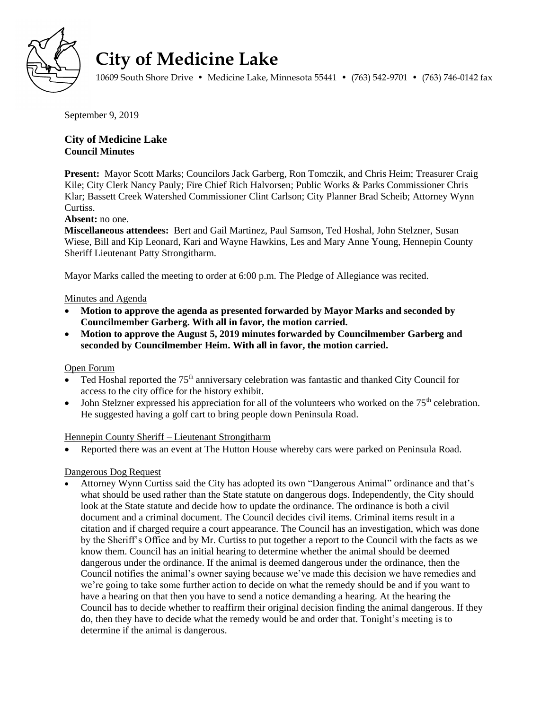

# **City of Medicine Lake**

10609 South Shore Drive • Medicine Lake, Minnesota 55441 • (763) 542-9701 • (763) 746-0142 fax

September 9, 2019

# **City of Medicine Lake Council Minutes**

**Present:** Mayor Scott Marks; Councilors Jack Garberg, Ron Tomczik, and Chris Heim; Treasurer Craig Kile; City Clerk Nancy Pauly; Fire Chief Rich Halvorsen; Public Works & Parks Commissioner Chris Klar; Bassett Creek Watershed Commissioner Clint Carlson; City Planner Brad Scheib; Attorney Wynn Curtiss.

## **Absent:** no one.

**Miscellaneous attendees:** Bert and Gail Martinez, Paul Samson, Ted Hoshal, John Stelzner, Susan Wiese, Bill and Kip Leonard, Kari and Wayne Hawkins, Les and Mary Anne Young, Hennepin County Sheriff Lieutenant Patty Strongitharm.

Mayor Marks called the meeting to order at 6:00 p.m. The Pledge of Allegiance was recited.

## Minutes and Agenda

- **Motion to approve the agenda as presented forwarded by Mayor Marks and seconded by Councilmember Garberg. With all in favor, the motion carried.**
- **Motion to approve the August 5, 2019 minutes forwarded by Councilmember Garberg and seconded by Councilmember Heim. With all in favor, the motion carried.**

#### Open Forum

- Ted Hoshal reported the  $75<sup>th</sup>$  anniversary celebration was fantastic and thanked City Council for access to the city office for the history exhibit.
- John Stelzner expressed his appreciation for all of the volunteers who worked on the  $75<sup>th</sup>$  celebration. He suggested having a golf cart to bring people down Peninsula Road.

#### Hennepin County Sheriff – Lieutenant Strongitharm

Reported there was an event at The Hutton House whereby cars were parked on Peninsula Road.

## Dangerous Dog Request

 Attorney Wynn Curtiss said the City has adopted its own "Dangerous Animal" ordinance and that's what should be used rather than the State statute on dangerous dogs. Independently, the City should look at the State statute and decide how to update the ordinance. The ordinance is both a civil document and a criminal document. The Council decides civil items. Criminal items result in a citation and if charged require a court appearance. The Council has an investigation, which was done by the Sheriff's Office and by Mr. Curtiss to put together a report to the Council with the facts as we know them. Council has an initial hearing to determine whether the animal should be deemed dangerous under the ordinance. If the animal is deemed dangerous under the ordinance, then the Council notifies the animal's owner saying because we've made this decision we have remedies and we're going to take some further action to decide on what the remedy should be and if you want to have a hearing on that then you have to send a notice demanding a hearing. At the hearing the Council has to decide whether to reaffirm their original decision finding the animal dangerous. If they do, then they have to decide what the remedy would be and order that. Tonight's meeting is to determine if the animal is dangerous.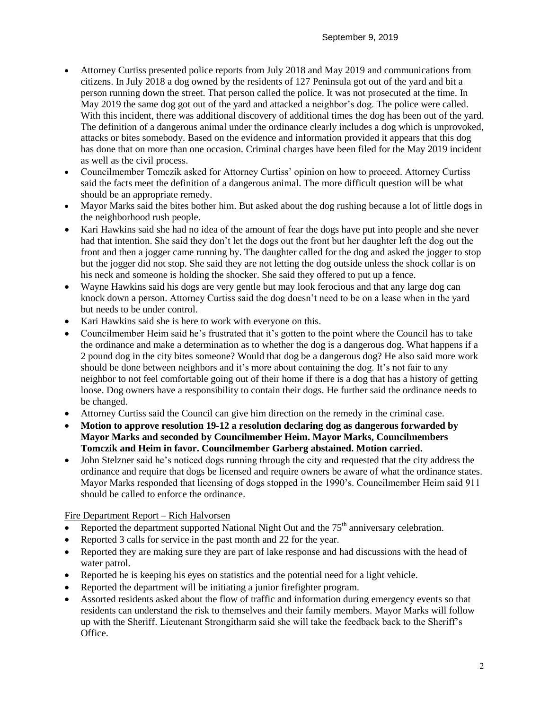- Attorney Curtiss presented police reports from July 2018 and May 2019 and communications from citizens. In July 2018 a dog owned by the residents of 127 Peninsula got out of the yard and bit a person running down the street. That person called the police. It was not prosecuted at the time. In May 2019 the same dog got out of the yard and attacked a neighbor's dog. The police were called. With this incident, there was additional discovery of additional times the dog has been out of the yard. The definition of a dangerous animal under the ordinance clearly includes a dog which is unprovoked, attacks or bites somebody. Based on the evidence and information provided it appears that this dog has done that on more than one occasion. Criminal charges have been filed for the May 2019 incident as well as the civil process.
- Councilmember Tomczik asked for Attorney Curtiss' opinion on how to proceed. Attorney Curtiss said the facts meet the definition of a dangerous animal. The more difficult question will be what should be an appropriate remedy.
- Mayor Marks said the bites bother him. But asked about the dog rushing because a lot of little dogs in the neighborhood rush people.
- Kari Hawkins said she had no idea of the amount of fear the dogs have put into people and she never had that intention. She said they don't let the dogs out the front but her daughter left the dog out the front and then a jogger came running by. The daughter called for the dog and asked the jogger to stop but the jogger did not stop. She said they are not letting the dog outside unless the shock collar is on his neck and someone is holding the shocker. She said they offered to put up a fence.
- Wayne Hawkins said his dogs are very gentle but may look ferocious and that any large dog can knock down a person. Attorney Curtiss said the dog doesn't need to be on a lease when in the yard but needs to be under control.
- Kari Hawkins said she is here to work with everyone on this.
- Councilmember Heim said he's frustrated that it's gotten to the point where the Council has to take the ordinance and make a determination as to whether the dog is a dangerous dog. What happens if a 2 pound dog in the city bites someone? Would that dog be a dangerous dog? He also said more work should be done between neighbors and it's more about containing the dog. It's not fair to any neighbor to not feel comfortable going out of their home if there is a dog that has a history of getting loose. Dog owners have a responsibility to contain their dogs. He further said the ordinance needs to be changed.
- Attorney Curtiss said the Council can give him direction on the remedy in the criminal case.
- **Motion to approve resolution 19-12 a resolution declaring dog as dangerous forwarded by Mayor Marks and seconded by Councilmember Heim. Mayor Marks, Councilmembers Tomczik and Heim in favor. Councilmember Garberg abstained. Motion carried.**
- John Stelzner said he's noticed dogs running through the city and requested that the city address the ordinance and require that dogs be licensed and require owners be aware of what the ordinance states. Mayor Marks responded that licensing of dogs stopped in the 1990's. Councilmember Heim said 911 should be called to enforce the ordinance.

Fire Department Report – Rich Halvorsen

- Reported the department supported National Night Out and the  $75<sup>th</sup>$  anniversary celebration.
- Reported 3 calls for service in the past month and 22 for the year.
- Reported they are making sure they are part of lake response and had discussions with the head of water patrol.
- Reported he is keeping his eyes on statistics and the potential need for a light vehicle.
- Reported the department will be initiating a junior firefighter program.
- Assorted residents asked about the flow of traffic and information during emergency events so that residents can understand the risk to themselves and their family members. Mayor Marks will follow up with the Sheriff. Lieutenant Strongitharm said she will take the feedback back to the Sheriff's Office.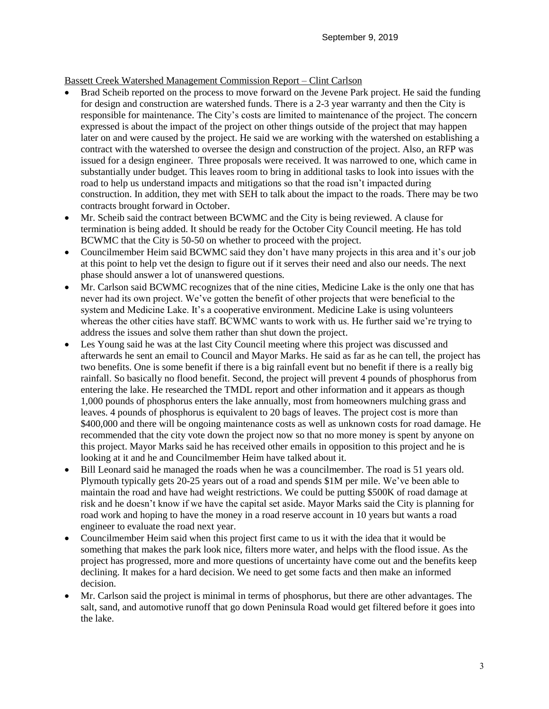## Bassett Creek Watershed Management Commission Report – Clint Carlson

- Brad Scheib reported on the process to move forward on the Jevene Park project. He said the funding for design and construction are watershed funds. There is a 2-3 year warranty and then the City is responsible for maintenance. The City's costs are limited to maintenance of the project. The concern expressed is about the impact of the project on other things outside of the project that may happen later on and were caused by the project. He said we are working with the watershed on establishing a contract with the watershed to oversee the design and construction of the project. Also, an RFP was issued for a design engineer. Three proposals were received. It was narrowed to one, which came in substantially under budget. This leaves room to bring in additional tasks to look into issues with the road to help us understand impacts and mitigations so that the road isn't impacted during construction. In addition, they met with SEH to talk about the impact to the roads. There may be two contracts brought forward in October.
- Mr. Scheib said the contract between BCWMC and the City is being reviewed. A clause for termination is being added. It should be ready for the October City Council meeting. He has told BCWMC that the City is 50-50 on whether to proceed with the project.
- Councilmember Heim said BCWMC said they don't have many projects in this area and it's our job at this point to help vet the design to figure out if it serves their need and also our needs. The next phase should answer a lot of unanswered questions.
- Mr. Carlson said BCWMC recognizes that of the nine cities, Medicine Lake is the only one that has never had its own project. We've gotten the benefit of other projects that were beneficial to the system and Medicine Lake. It's a cooperative environment. Medicine Lake is using volunteers whereas the other cities have staff. BCWMC wants to work with us. He further said we're trying to address the issues and solve them rather than shut down the project.
- Les Young said he was at the last City Council meeting where this project was discussed and afterwards he sent an email to Council and Mayor Marks. He said as far as he can tell, the project has two benefits. One is some benefit if there is a big rainfall event but no benefit if there is a really big rainfall. So basically no flood benefit. Second, the project will prevent 4 pounds of phosphorus from entering the lake. He researched the TMDL report and other information and it appears as though 1,000 pounds of phosphorus enters the lake annually, most from homeowners mulching grass and leaves. 4 pounds of phosphorus is equivalent to 20 bags of leaves. The project cost is more than \$400,000 and there will be ongoing maintenance costs as well as unknown costs for road damage. He recommended that the city vote down the project now so that no more money is spent by anyone on this project. Mayor Marks said he has received other emails in opposition to this project and he is looking at it and he and Councilmember Heim have talked about it.
- Bill Leonard said he managed the roads when he was a councilmember. The road is 51 years old. Plymouth typically gets 20-25 years out of a road and spends \$1M per mile. We've been able to maintain the road and have had weight restrictions. We could be putting \$500K of road damage at risk and he doesn't know if we have the capital set aside. Mayor Marks said the City is planning for road work and hoping to have the money in a road reserve account in 10 years but wants a road engineer to evaluate the road next year.
- Councilmember Heim said when this project first came to us it with the idea that it would be something that makes the park look nice, filters more water, and helps with the flood issue. As the project has progressed, more and more questions of uncertainty have come out and the benefits keep declining. It makes for a hard decision. We need to get some facts and then make an informed decision.
- Mr. Carlson said the project is minimal in terms of phosphorus, but there are other advantages. The salt, sand, and automotive runoff that go down Peninsula Road would get filtered before it goes into the lake.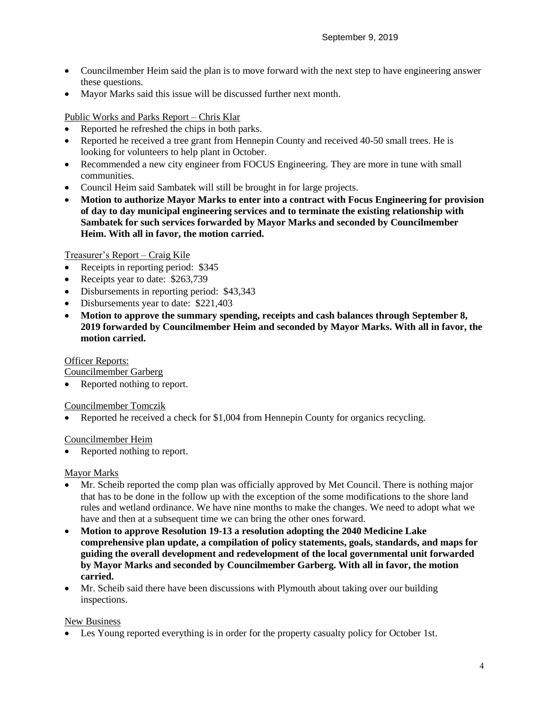- Councilmember Heim said the plan is to move forward with the next step to have engineering answer these questions.
- Mayor Marks said this issue will be discussed further next month.

Public Works and Parks Report – Chris Klar

- Reported he refreshed the chips in both parks.
- Reported he received a tree grant from Hennepin County and received 40-50 small trees. He is looking for volunteers to help plant in October.
- Recommended a new city engineer from FOCUS Engineering. They are more in tune with small communities.
- Council Heim said Sambatek will still be brought in for large projects.
- **Motion to authorize Mayor Marks to enter into a contract with Focus Engineering for provision of day to day municipal engineering services and to terminate the existing relationship with Sambatek for such services forwarded by Mayor Marks and seconded by Councilmember Heim. With all in favor, the motion carried.**

Treasurer's Report – Craig Kile

- Receipts in reporting period: \$345
- Receipts year to date: \$263,739
- Disbursements in reporting period: \$43,343
- Disbursements year to date: \$221,403
- **Motion to approve the summary spending, receipts and cash balances through September 8, 2019 forwarded by Councilmember Heim and seconded by Mayor Marks. With all in favor, the motion carried.**

Officer Reports:

Councilmember Garberg

• Reported nothing to report.

Councilmember Tomczik

Reported he received a check for \$1,004 from Hennepin County for organics recycling.

#### Councilmember Heim

Reported nothing to report.

Mayor Marks

- Mr. Scheib reported the comp plan was officially approved by Met Council. There is nothing major that has to be done in the follow up with the exception of the some modifications to the shore land rules and wetland ordinance. We have nine months to make the changes. We need to adopt what we have and then at a subsequent time we can bring the other ones forward.
- **Motion to approve Resolution 19-13 a resolution adopting the 2040 Medicine Lake comprehensive plan update, a compilation of policy statements, goals, standards, and maps for guiding the overall development and redevelopment of the local governmental unit forwarded by Mayor Marks and seconded by Councilmember Garberg. With all in favor, the motion carried.**
- Mr. Scheib said there have been discussions with Plymouth about taking over our building inspections.

#### New Business

Les Young reported everything is in order for the property casualty policy for October 1st.